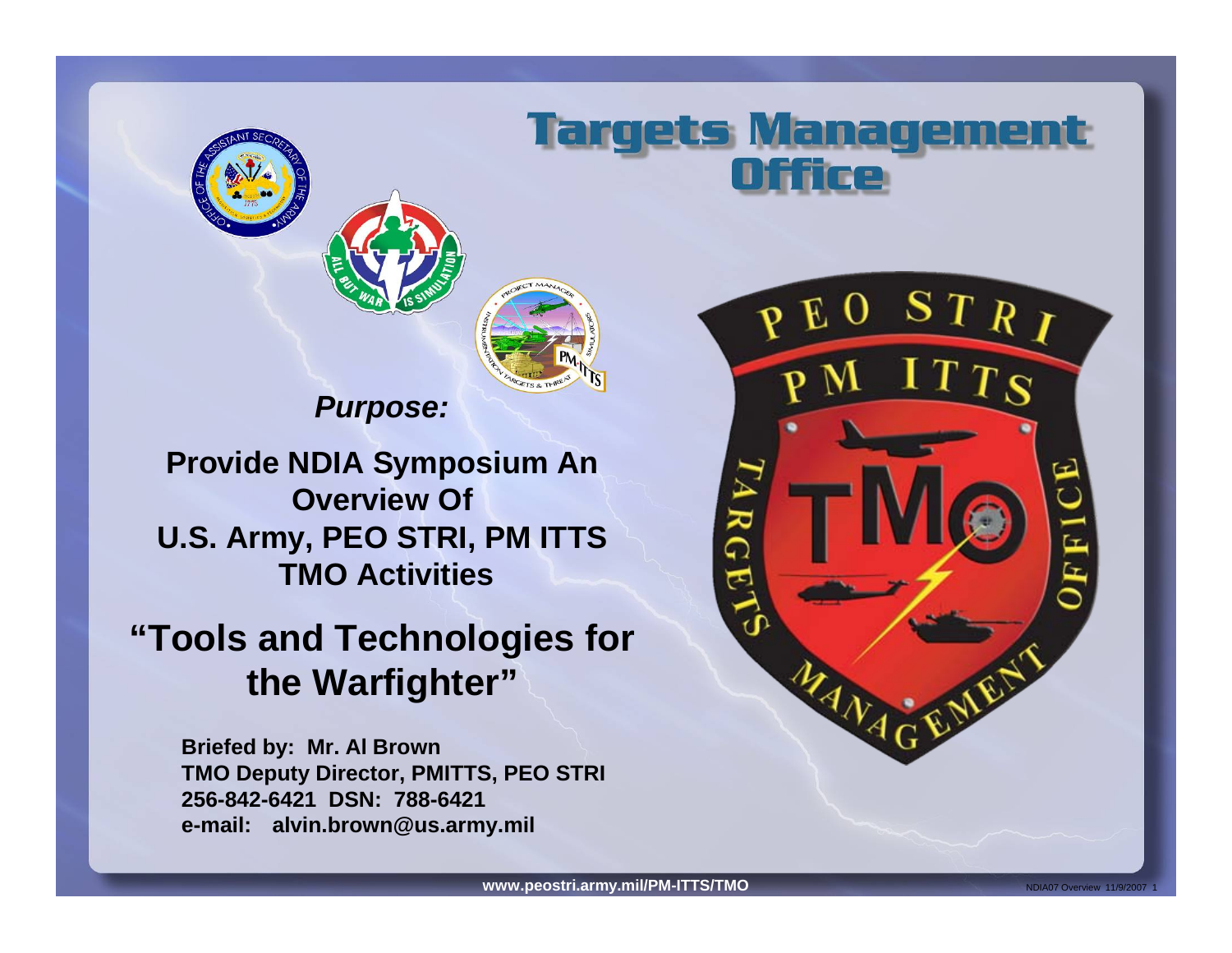



### *Purpose:*

**Provide NDIA Symposium An Overview Of U.S. Army, PEO STRI, PM ITTS TMO Activities**

## **"Tools and Technologies for the Warfighter"**

**Briefed by: Mr. Al Brown TMO Deputy Director, PMITTS, PEO STRI 256-842-6421 DSN: 788-6421e-mail: alvin.brown@us.army.mil**



**Targets Management** 

ICe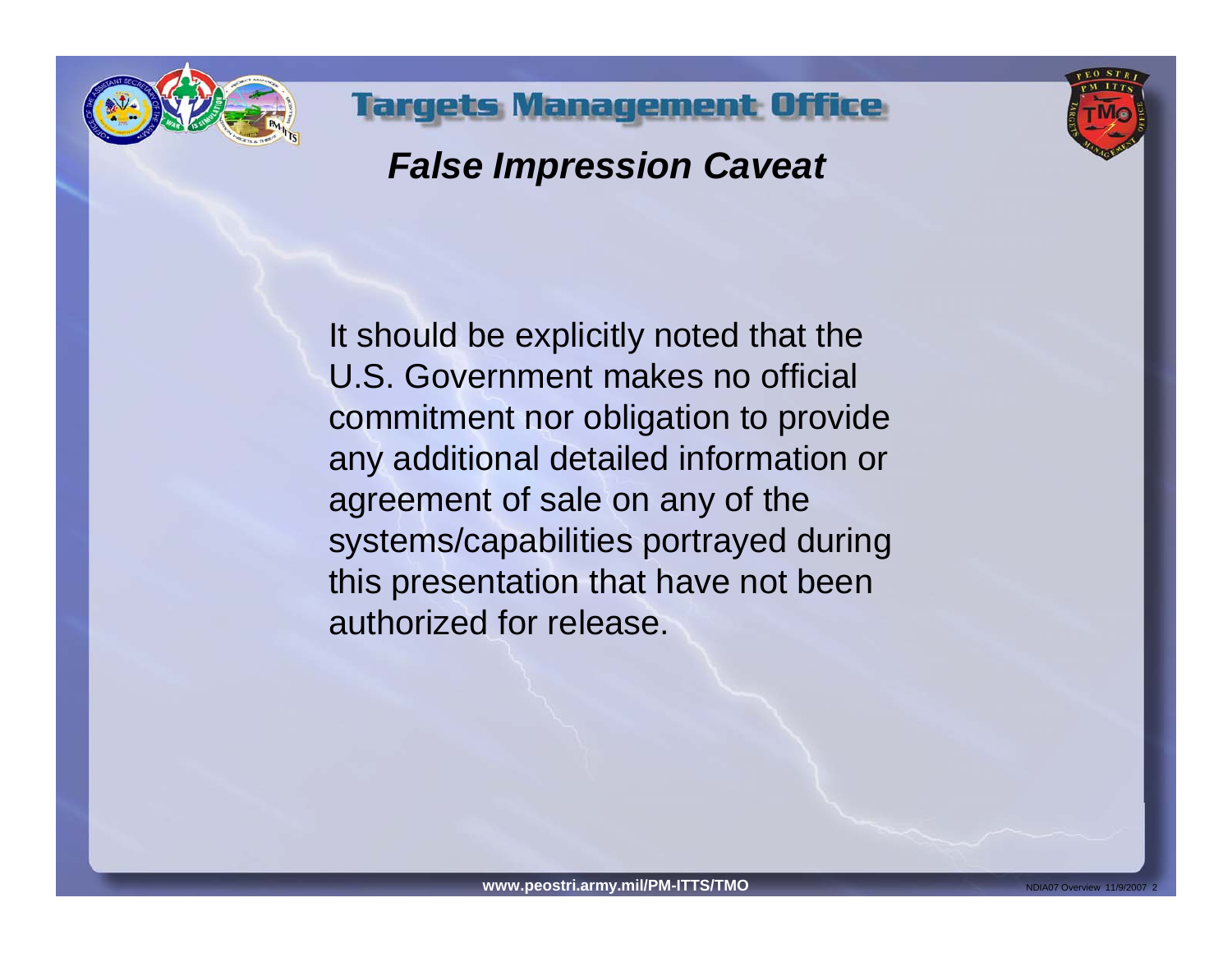



## *False Impression Caveat*

**Targets, Management Office** 

It should be explicitly noted that the U.S. Government makes no official commitment nor obligation to provide any additional detailed information or agreement of sale on any of the systems/capabilities portrayed during this presentation that have not been authorized for release.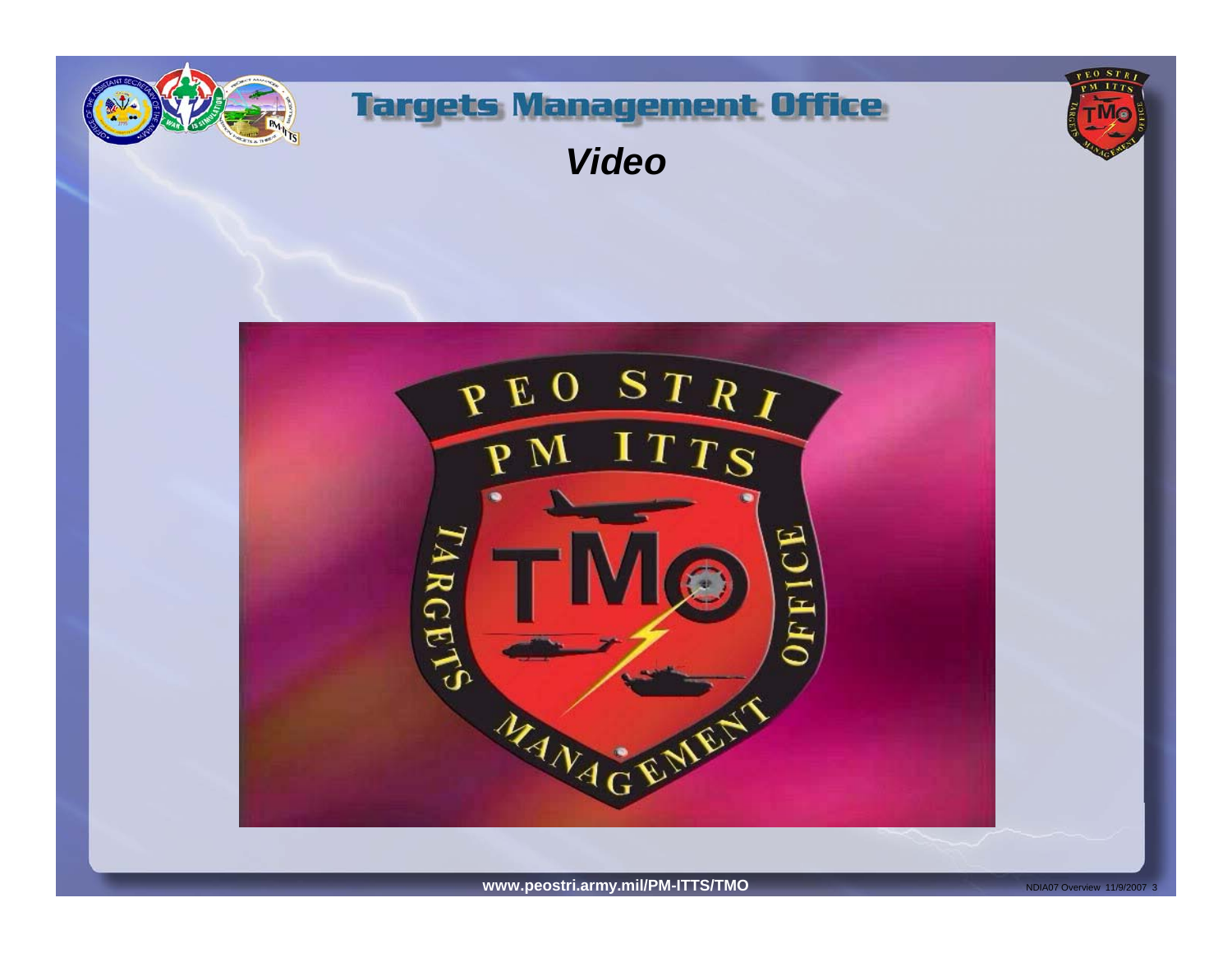







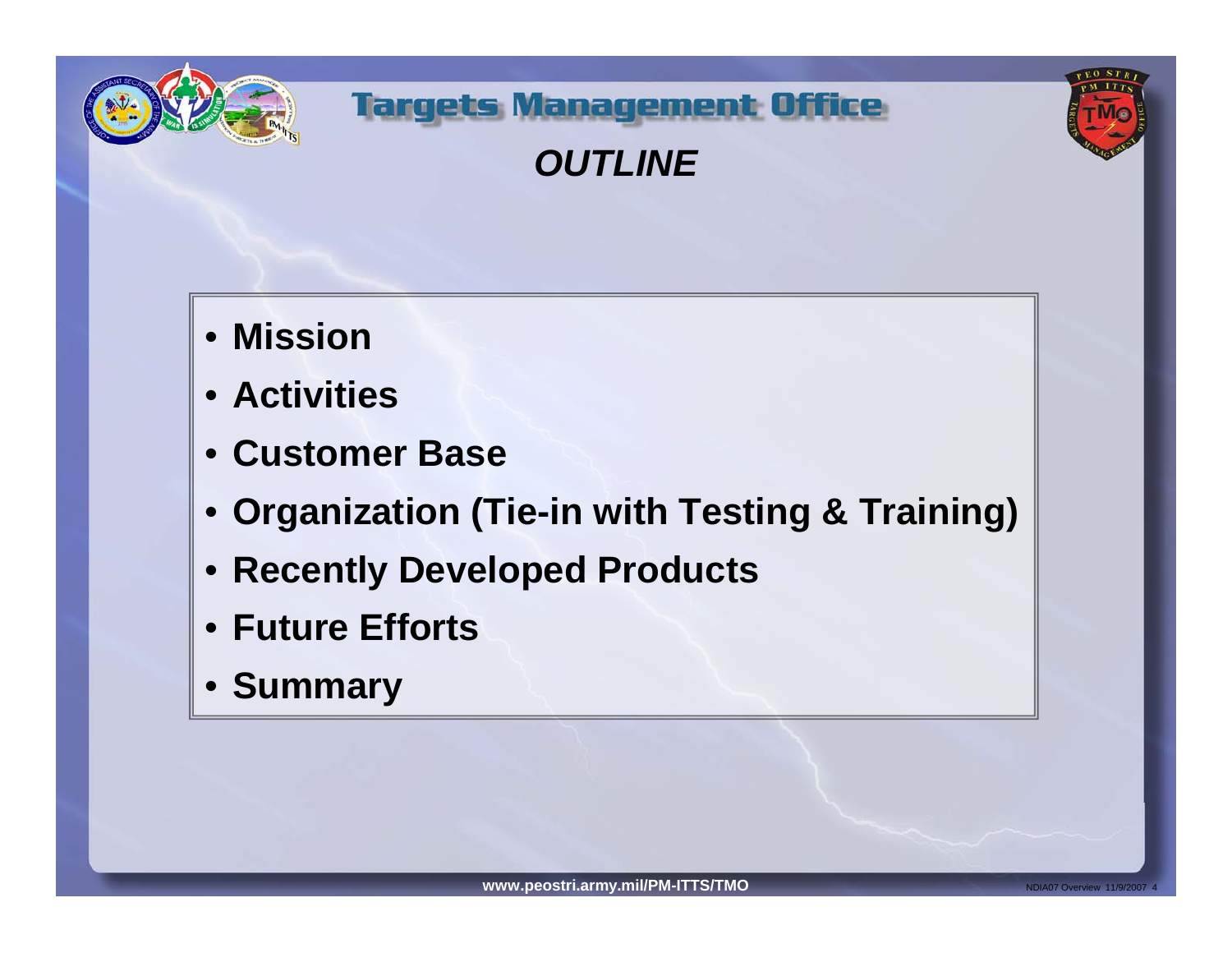



*OUTLINE*



- **Mission**
- **Activities**
- **Customer Base**
- **Organization (Tie-in with Testing & Training)**
- **Recently Developed Products**
- **Future Efforts**
- **Summary**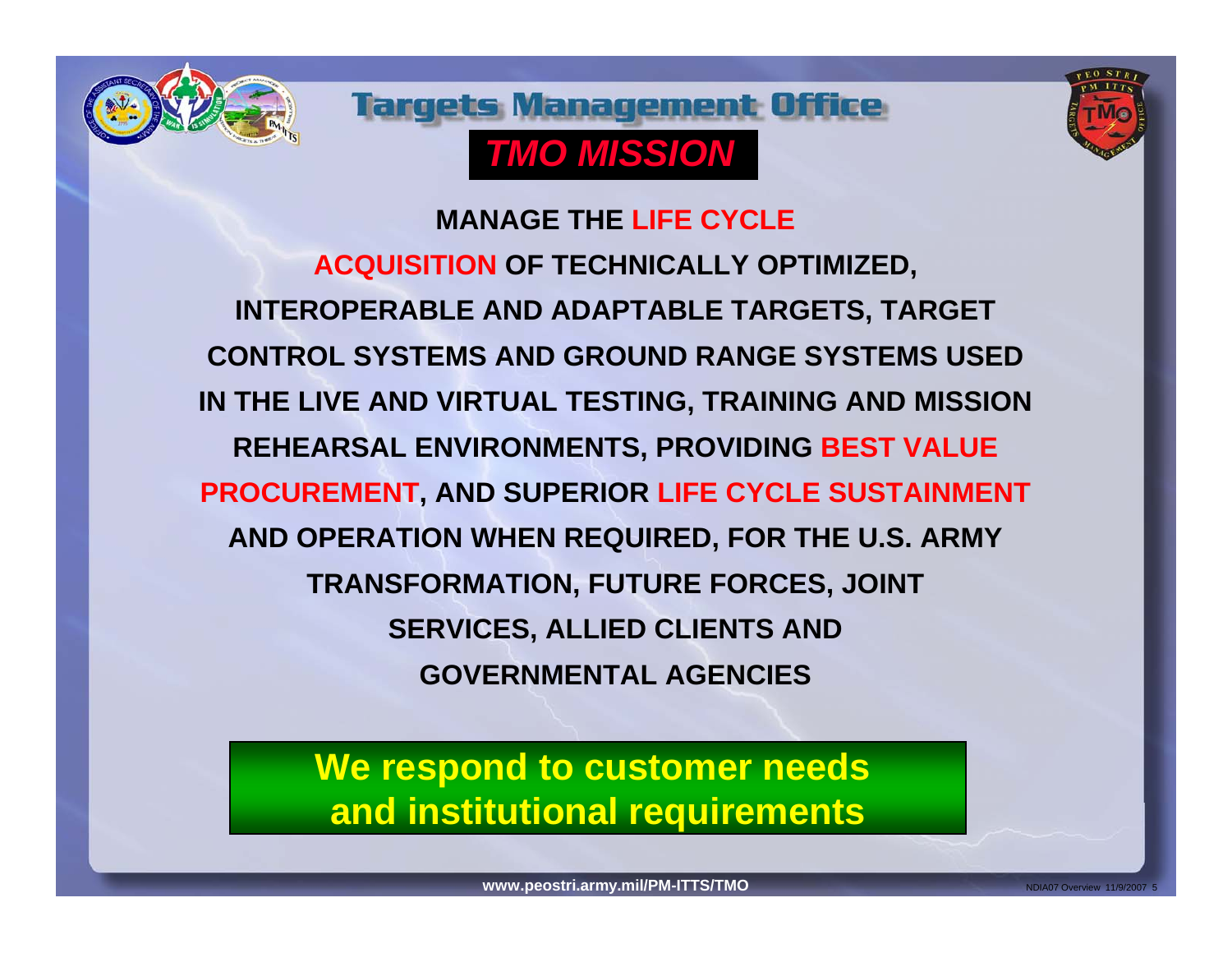





**MANAGE THE LIFE CYCLEACQUISITION OF TECHNICALLY OPTIMIZED, INTEROPERABLE AND ADAPTABLE TARGETS, TARGET CONTROL SYSTEMS AND GROUND RANGE SYSTEMS USED IN THE LIVE AND VIRTUAL TESTING, TRAINING AND MISSION REHEARSAL ENVIRONMENTS, PROVIDING BEST VALUE PROCUREMENT, AND SUPERIOR LIFE CYCLE SUSTAINMENT AND OPERATION WHEN REQUIRED, FOR THE U.S. ARMY TRANSFORMATION, FUTURE FORCES, JOINT SERVICES, ALLIED CLIENTS AND GOVERNMENTAL AGENCIES**

## **We respond to customer needs and institutional requirements**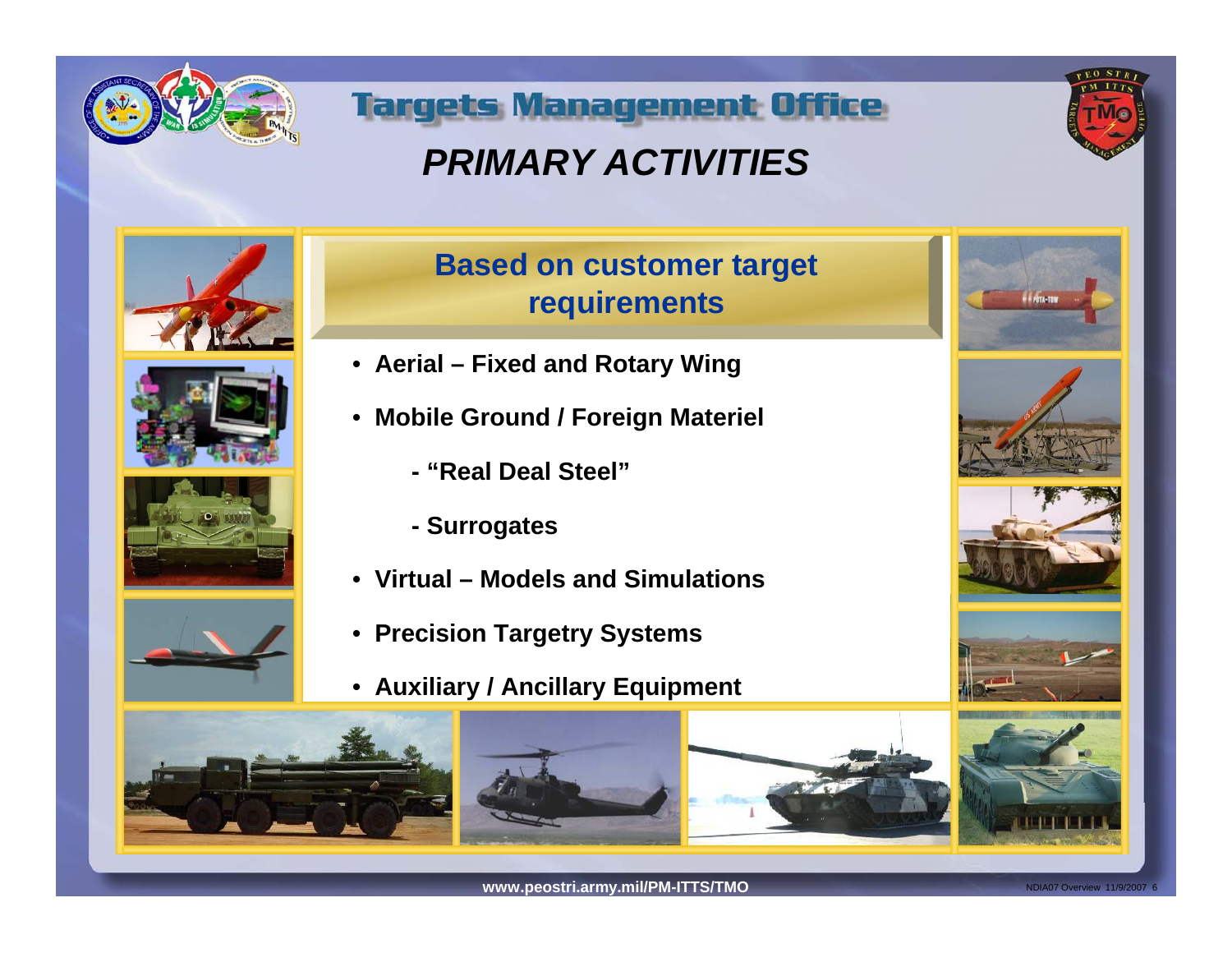

## *PRIMARY ACTIVITIES*











### **Based on customer target requirements**

- **Aerial Fixed and Rotary Wing**
- **Mobile Ground / Foreign Materiel**
	- **"Real Deal Steel"**
	- **Surrogates**
- **Virtual Models and Simulations**
- **Precision Targetry Systems**
- **Auxiliary / Ancillary Equipment**













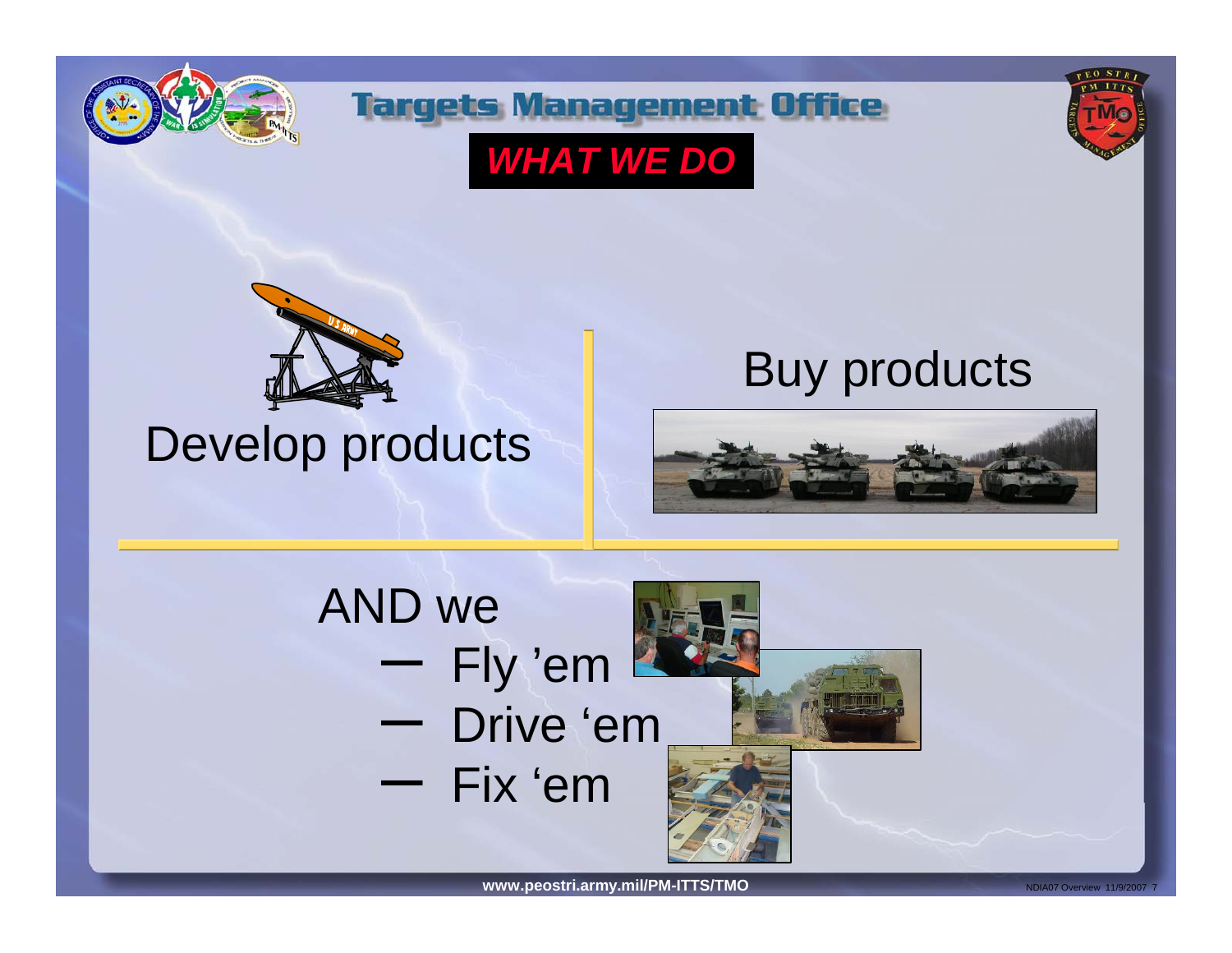



*WHAT WE DO*





## Develop products

## Buy products



## AND we – Fly 'em – Drive 'em– Fix 'em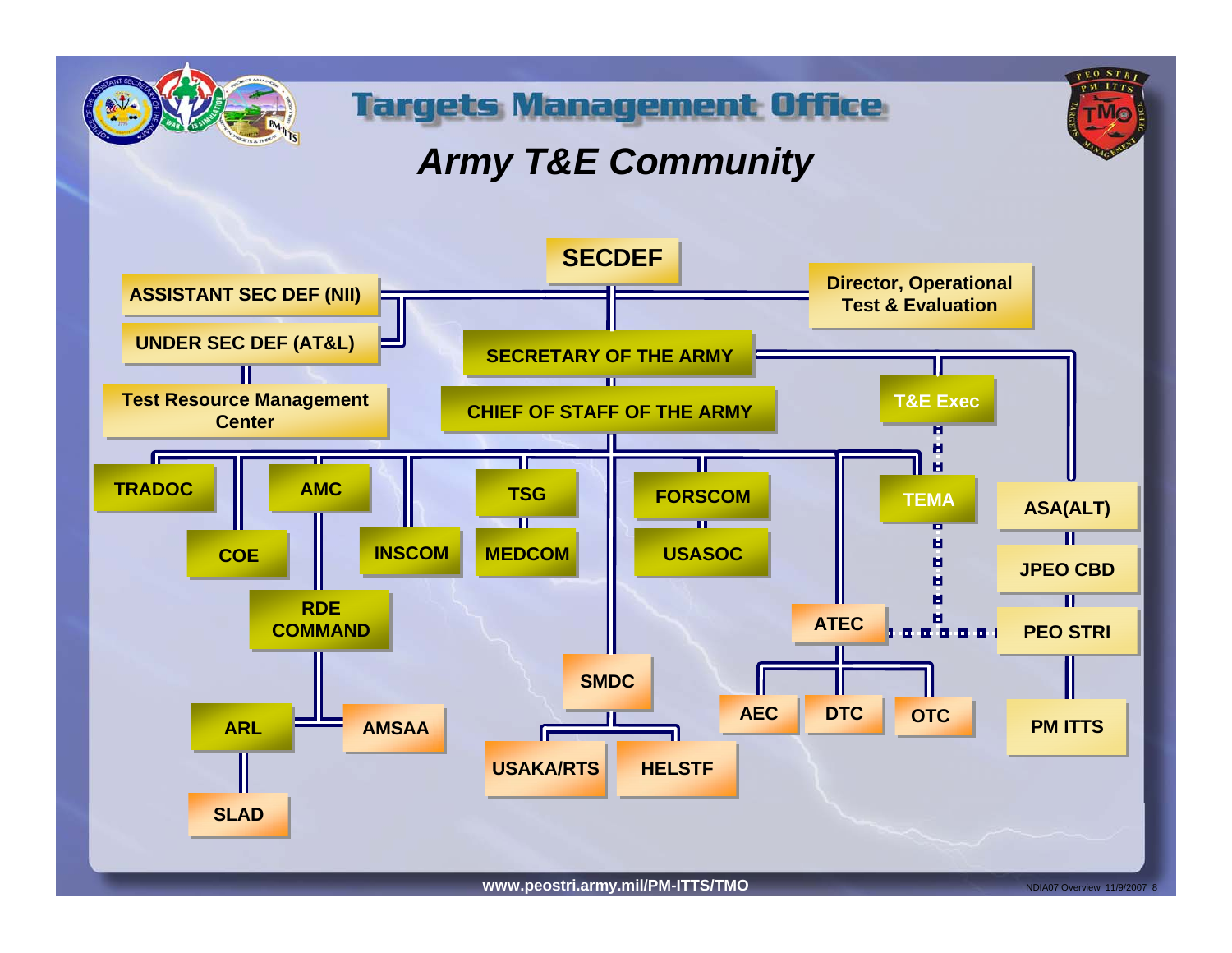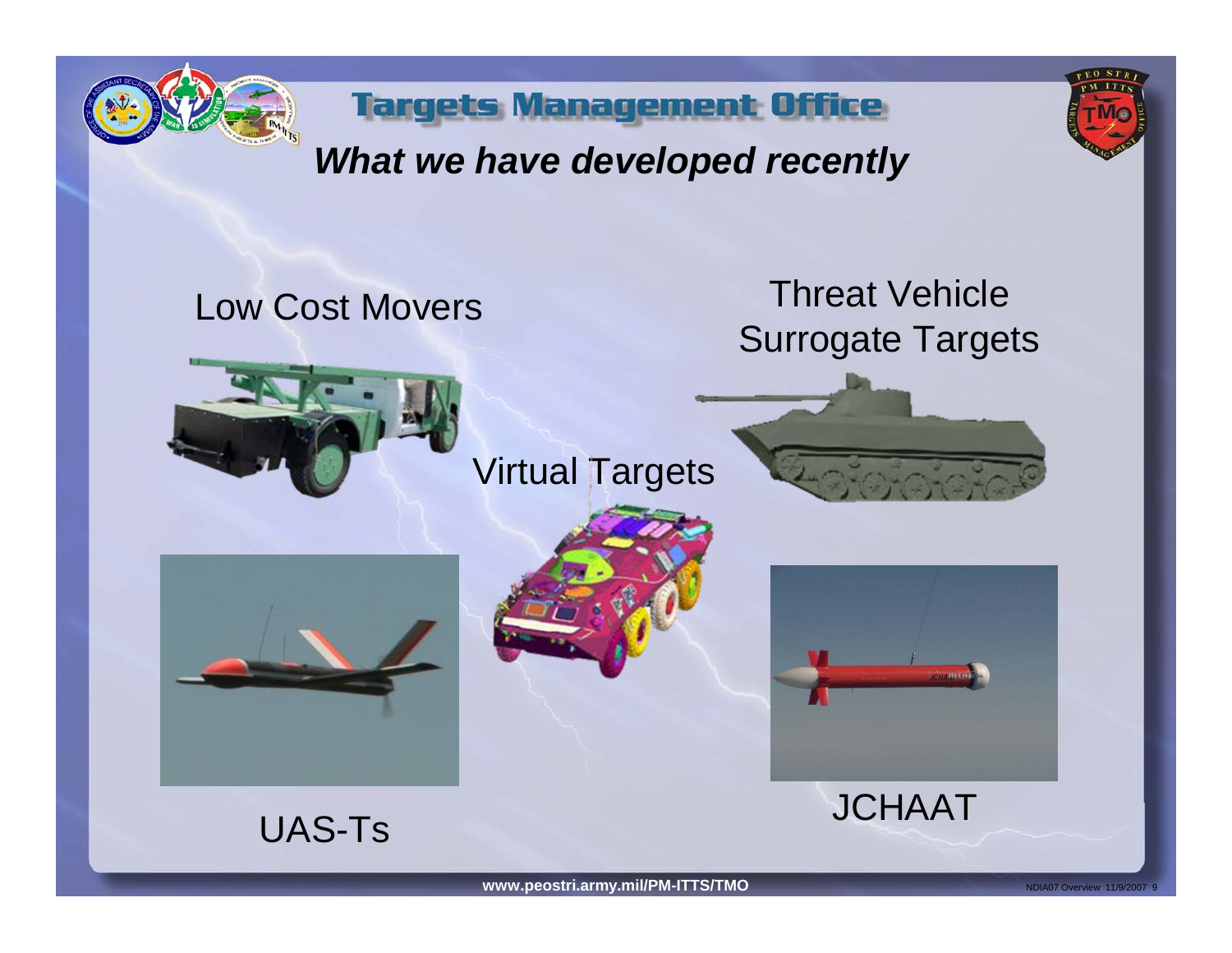



## *What we have developed recently*

**Targets Management Office** 

# Threat Vehicle Low Cost Movers Surrogate Targets Virtual Targets**MANH-FIN JCHAAT**

UAS-Ts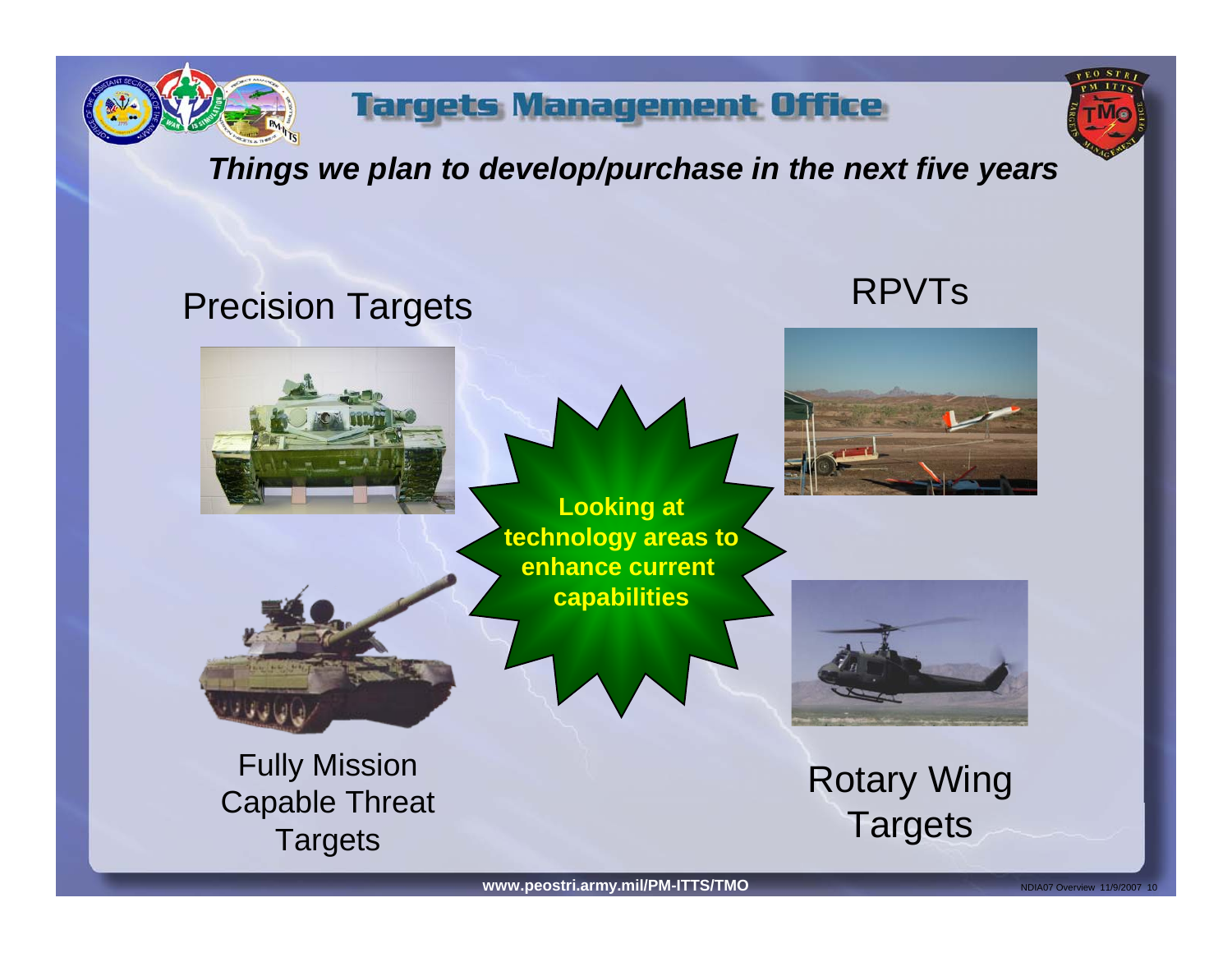

### *Things we plan to develop/purchase in the next five years*

## Precision Targets RPVTs



**Looking at enhance current** 





**technology areas to capabilities**



Rotary Wing **Targets**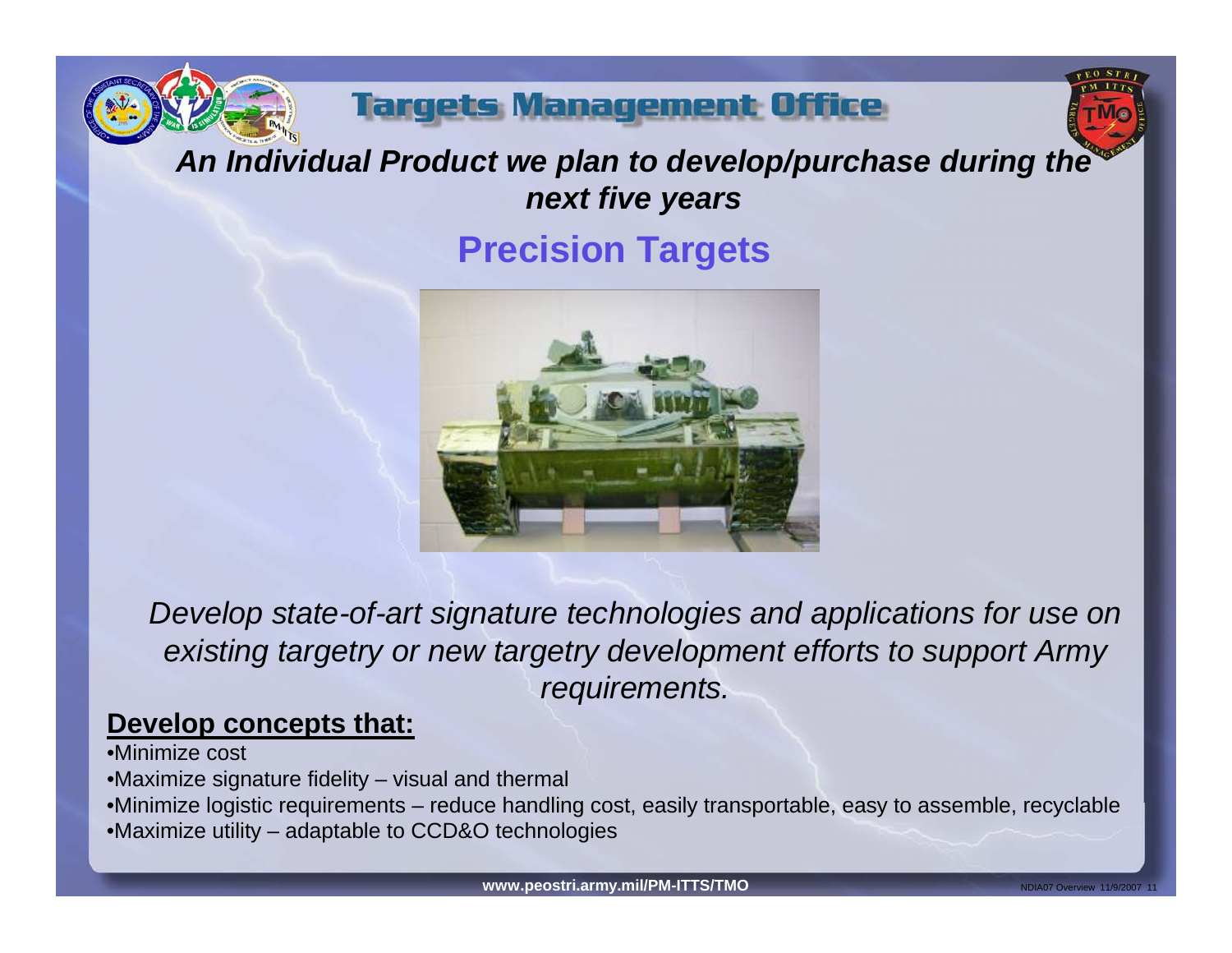

## *An Individual Product we plan to develop/purchase during the next five years*

## **Precision Targets**



*Develop state-of-art signature technologies and applications for use on existing targetry or new targetry development efforts to support Army requirements.*

### **Develop concepts that:**

- •Minimize cost
- •Maximize signature fidelity visual and thermal
- •Minimize logistic requirements reduce handling cost, easily transportable, easy to assemble, recyclable
- •Maximize utility adaptable to CCD&O technologies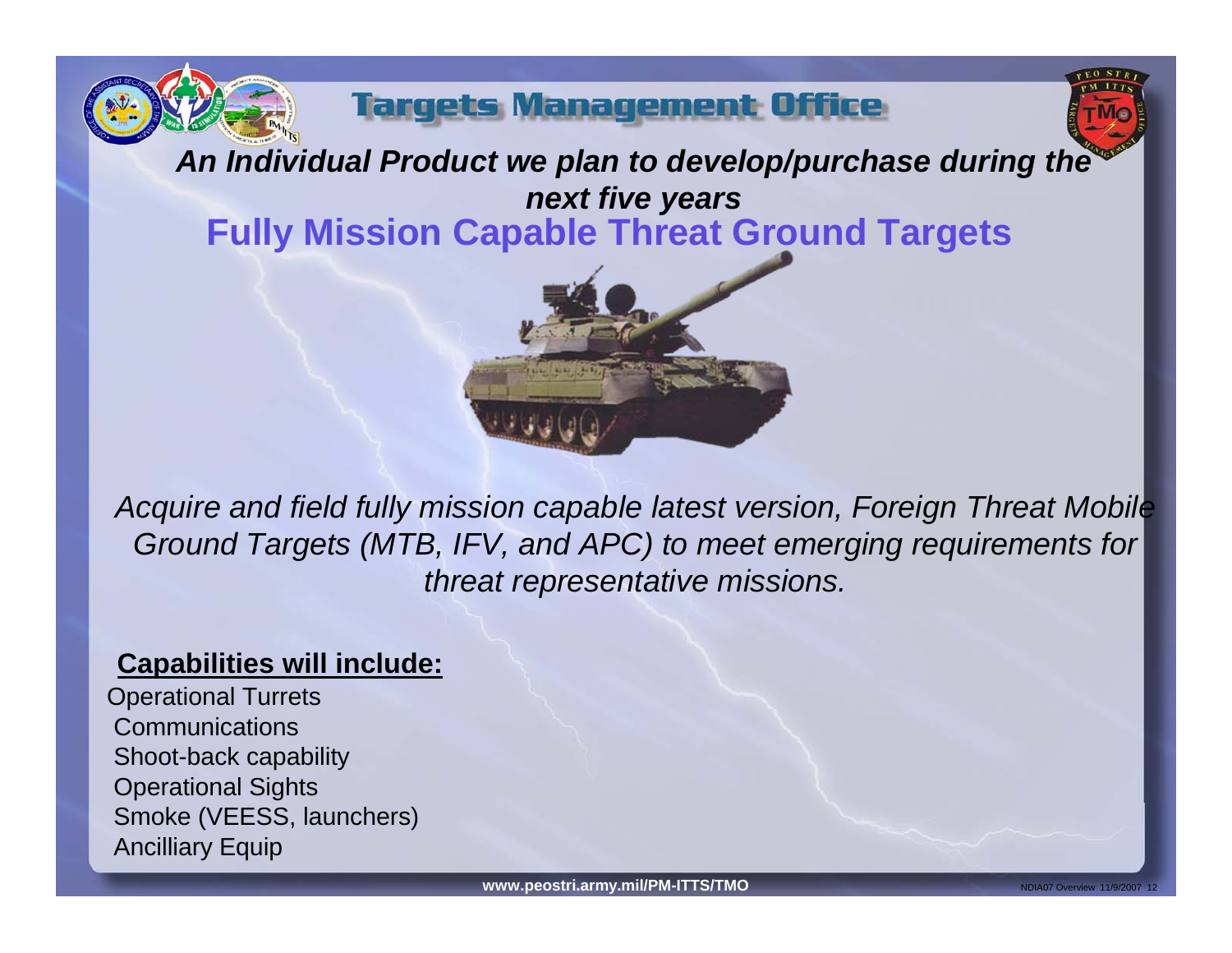



*An Individual Product we plan to develop/purchase during the next five years* **Fully Mission Capable Threat Ground Targets**



*Acquire and field fully mission capable latest version, Foreign Threat Mobile Ground Targets (MTB, IFV, and APC) to meet emerging requirements for threat representative missions.*

### **Capabilities will include:**

Operational Turrets **Communications** Shoot-back capability Operational Sights Smoke (VEESS, launchers) Ancilliary Equip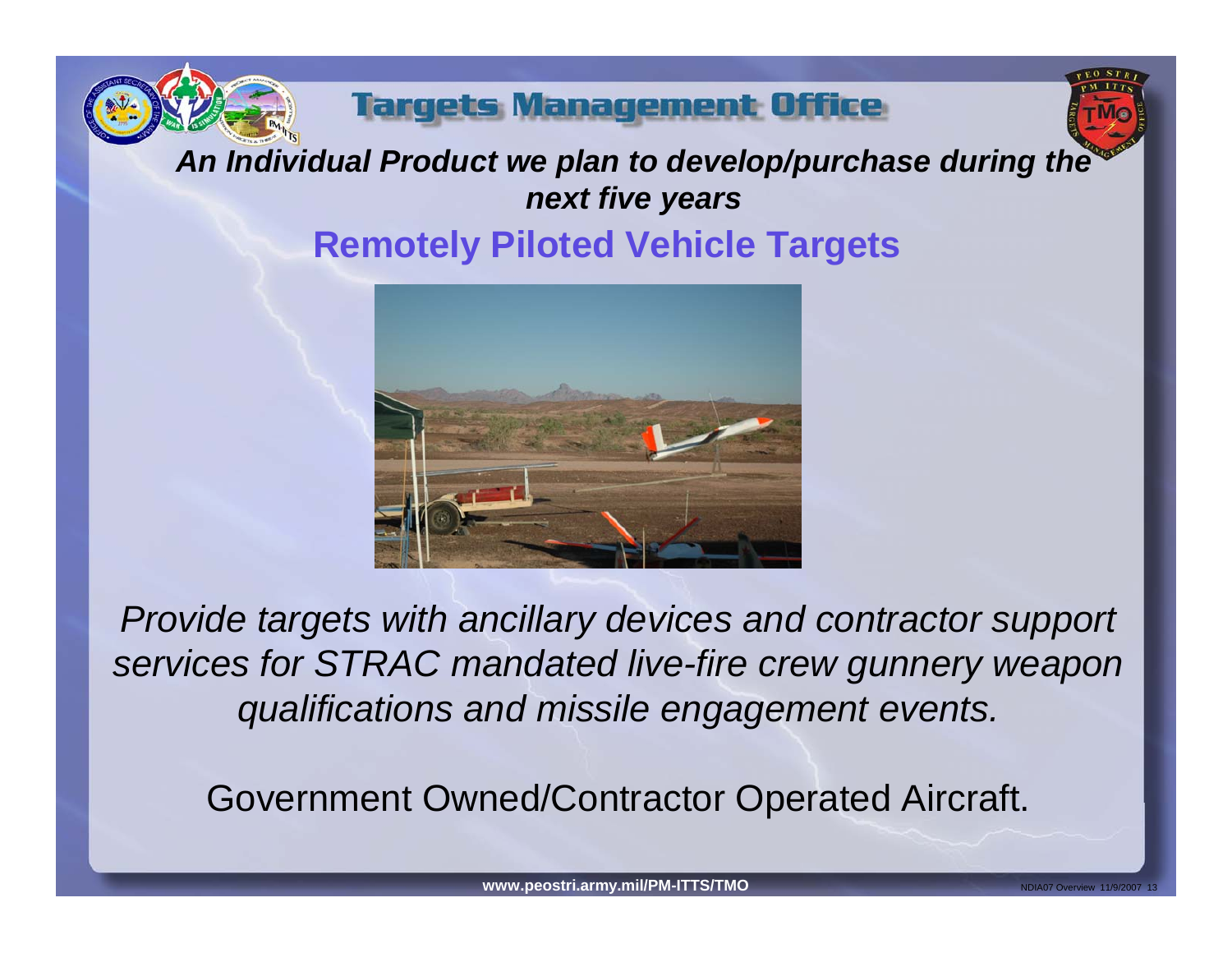



## *An Individual Product we plan to develop/purchase during the next five years* **Remotely Piloted Vehicle Targets**



*Provide targets with ancillary devices and contractor support services for STRAC mandated live-fire crew gunnery weapon qualifications and missile engagement events.*

Government Owned/Contractor Operated Aircraft.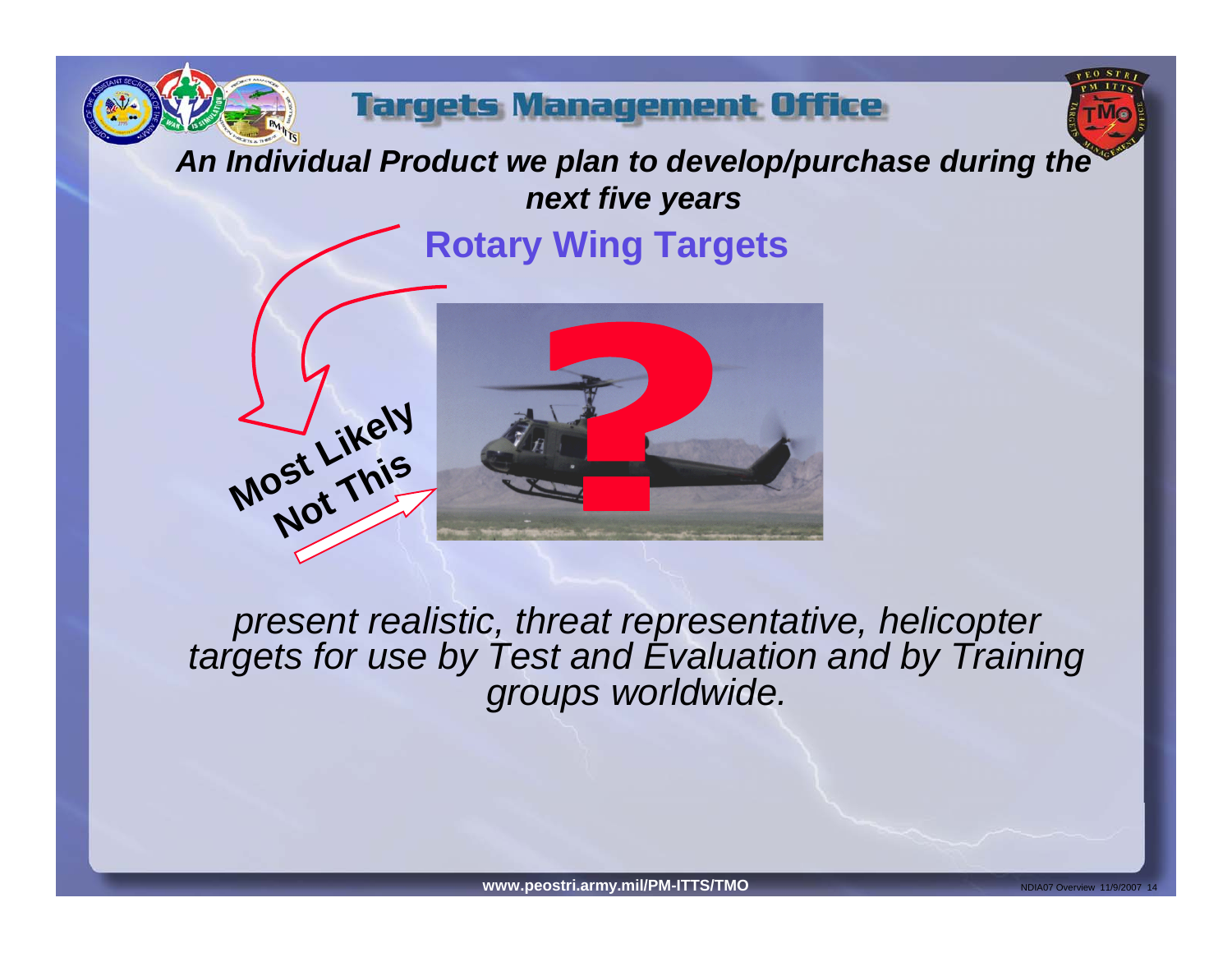



## *An Individual Product we plan to develop/purchase during the next five years*

**Rotary Wing Targets**





*present realistic, threat representative, helicopter targets for use by Test and Evaluation and by Training groups worldwide.*